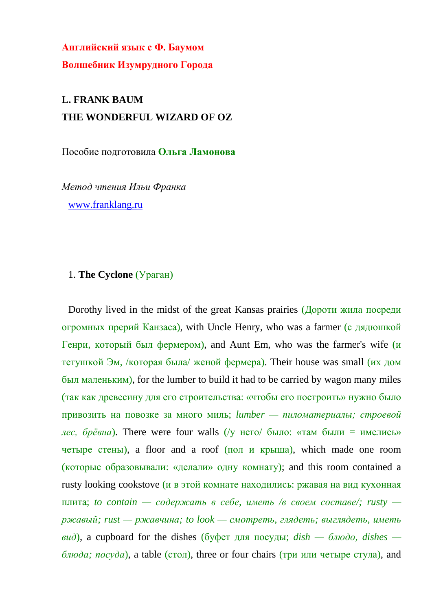**Английский язык с Ф. Баумом Волшебник Изумрудного Города**

## **L. FRANK BAUM THE WONDERFUL WIZARD OF OZ**

Пособие подготовила **Ольга Ламонова**

*Метод чтения Ильи Франка* [www.franklang.ru](http://www.franklang.ru/)

#### 1. **The Cyclone** (Ураган)

Dorothy lived in the midst of the great Kansas prairies (Дороти жила посреди огромных прерий Канзаса), with Uncle Henry, who was a farmer (с дядюшкой Генри, который был фермером), and Aunt Em, who was the farmer's wife (и тетушкой Эм, /которая была/ женой фермера). Their house was small (их дом был маленьким), for the lumber to build it had to be carried by wagon many miles (так как древесину для его строительства: «чтобы его построить» нужно было привозить на повозке за много миль; *lumber — пиломатериалы; строевой лес, брёвна*). There were four walls (/у него/ было: «там были = имелись» четыре стены), a floor and a roof (пол и крыша), which made one room (которые образовывали: «делали» одну комнату); and this room contained a rusty looking cookstove (и в этой комнате находились: ржавая на вид кухонная плита; *to contain — содержать в себе, иметь /в своем составе/; rusty ржавый; rust — ржавчина; to look — смотреть, глядеть; выглядеть, иметь*  $\epsilon u$ *d*), a cupboard for the dishes (буфет для посуды;  $\text{dist} - \epsilon \sqrt{b} \cdot \text{dist}$ ),  $\text{dist} - \epsilon$  $\delta$ *люда; посуда*), a table (стол), three or four chairs (три или четыре стула), and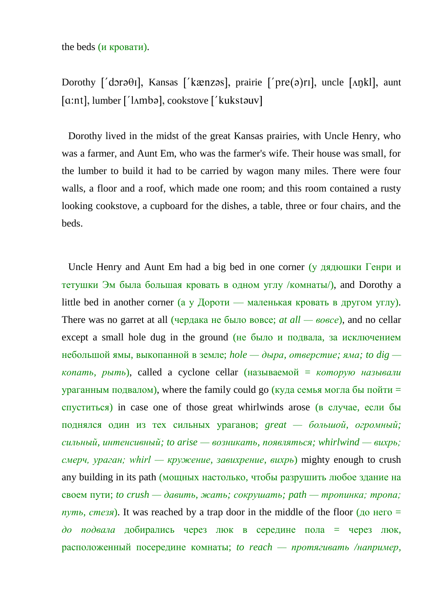the beds (и кровати).

Dorothy ['dora $\theta$ I], Kansas ['kænzas], prairie ['pre(a)rI], uncle [Ankl], aunt  $[a:nt]$ , lumber [' $l$ Ambə], cookstove [' $k$ ukstəuv]

Dorothy lived in the midst of the great Kansas prairies, with Uncle Henry, who was a farmer, and Aunt Em, who was the farmer's wife. Their house was small, for the lumber to build it had to be carried by wagon many miles. There were four walls, a floor and a roof, which made one room; and this room contained a rusty looking cookstove, a cupboard for the dishes, a table, three or four chairs, and the beds.

Uncle Henry and Aunt Em had a big bed in one corner (у дядюшки Генри и тетушки Эм была большая кровать в одном углу /комнаты/), and Dorothy a little bed in another corner (а у Дороти — маленькая кровать в другом углу). There was no garret at all (чердака не было вовсе; *at all — вовсе*), and no cellar except a small hole dug in the ground (не было и подвала, за исключением небольшой ямы, выкопанной в земле; *hole — дыра, отверстие; яма; to dig копать, рыть*), called a cyclone cellar (называемой = *которую называли* ураганным подвалом), where the family could go (куда семья могла бы пойти  $=$ спуститься) in case one of those great whirlwinds arose (в случае, если бы поднялся один из тех сильных ураганов; *great — большой, огромный; сильный, интенсивный; to arise — возникать, появляться; whirlwind — вихрь; смерч, ураган; whirl — кружение, завихрение, вихрь*) mighty enough to crush any building in its path (мощных настолько, чтобы разрушить любое здание на своем пути; *to crush — давить, жать; сокрушать; path — тропинка; тропа;*   $nvm_1$ , *стезя*). It was reached by a trap door in the middle of the floor ( $\mu$ <sup>o</sup> него = *до подвала* добирались через люк в середине пола = через люк, расположенный посередине комнаты; *to reach — протягивать /например,*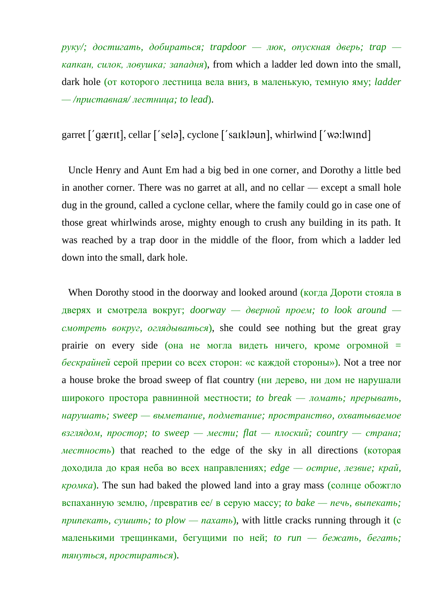*руку/; достигать, добираться; trapdoor — люк, опускная дверь; trap капкан, силок, ловушка; западня*), from which a ladder led down into the small, dark hole (от которого лестница вела вниз, в маленькую, темную яму; *ladder — /приставная/ лестница; to lead*).

#### garret ['gærɪt], cellar ['selə], cyclone ['saɪkləun], whirlwind ['wə:lwind]

Uncle Henry and Aunt Em had a big bed in one corner, and Dorothy a little bed in another corner. There was no garret at all, and no cellar — except a small hole dug in the ground, called a cyclone cellar, where the family could go in case one of those great whirlwinds arose, mighty enough to crush any building in its path. It was reached by a trap door in the middle of the floor, from which a ladder led down into the small, dark hole.

When Dorothy stood in the doorway and looked around (когда Дороти стояла в дверях и смотрела вокруг; *doorway — дверной проем; to look around смотреть вокруг, оглядываться*), she could see nothing but the great gray prairie on every side (она не могла видеть ничего, кроме огромной = *бескрайней* серой прерии со всех сторон: «с каждой стороны»). Not a tree nor a house broke the broad sweep of flat country (ни дерево, ни дом не нарушали широкого простора равнинной местности; *to break — ломать; прерывать, нарушать; sweep — выметание, подметание; пространство, охватываемое взглядом, простор; to sweep — мести; flat — плоский; country — страна; местность*) that reached to the edge of the sky in all directions (которая доходила до края неба во всех направлениях; *edge — острие, лезвие; край, кромка*). The sun had baked the plowed land into a gray mass (солнце обожгло вспаханную землю, /превратив ее/ в серую массу; *to bake — печь, выпекать; припекать, сушить; to plow — пахать*), with little cracks running through it (с маленькими трещинками, бегущими по ней; *to run — бежать, бегать; тянуться, простираться*).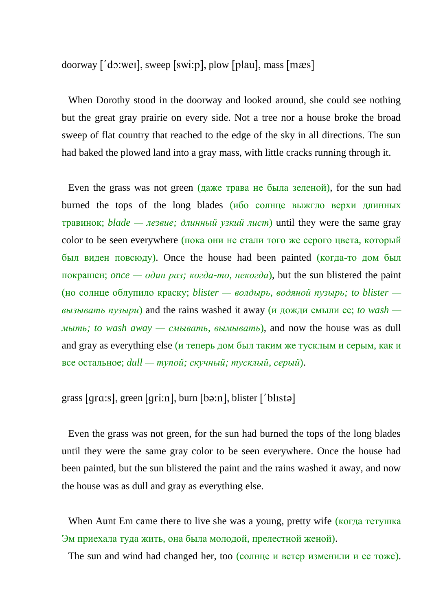doorway ['do:wei], sweep [swi:p], plow [plau], mass [ $me$ s]

When Dorothy stood in the doorway and looked around, she could see nothing but the great gray prairie on every side. Not a tree nor a house broke the broad sweep of flat country that reached to the edge of the sky in all directions. The sun had baked the plowed land into a gray mass, with little cracks running through it.

Even the grass was not green (даже трава не была зеленой), for the sun had burned the tops of the long blades (ибо солнце выжгло верхи длинных травинок; *blade — лезвие; длинный узкий лист*) until they were the same gray color to be seen everywhere (пока они не стали того же серого цвета, который был виден повсюду). Once the house had been painted (когда-то дом был покрашен; *once — один раз; когда-то, некогда*), but the sun blistered the paint (но солнце облупило краску; *blister — волдырь, водяной пузырь; to blister вызывать пузыри*) and the rains washed it away (и дожди смыли ее; *to wash мыть; to wash away — смывать, вымывать*), and now the house was as dull and gray as everything else (и теперь дом был таким же тусклым и серым, как и все остальное; *dull — тупой; скучный; тусклый, серый*).

#### grass [ $gras$ ], green [ $gri:n$ ], burn [ $bə:n$ ], blister [' $blistə$ ]

Even the grass was not green, for the sun had burned the tops of the long blades until they were the same gray color to be seen everywhere. Once the house had been painted, but the sun blistered the paint and the rains washed it away, and now the house was as dull and gray as everything else.

When Aunt Em came there to live she was a young, pretty wife (когда тетушка Эм приехала туда жить, она была молодой, прелестной женой).

The sun and wind had changed her, too (солнце и ветер изменили и ее тоже).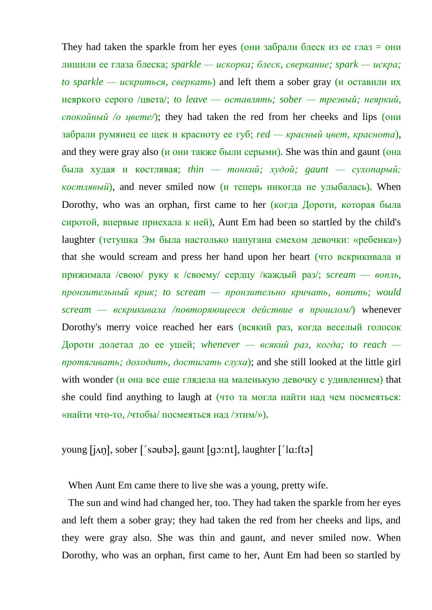They had taken the sparkle from her eyes (они забрали блеск из ее глаз  $=$  они лишили ее глаза блеска; *sparkle — искорка; блеск, сверкание; spark — искра; to sparkle — искриться, сверкать*) and left them a sober gray (и оставили их неяркого серого /цвета/; *to leave — оставлять; sober — трезвый; неяркий, спокойный /о цвете/*); they had taken the red from her cheeks and lips (они забрали румянец ее щек и красноту ее губ; *red — красный цвет, краснота*), and they were gray also (и они также были серыми). She was thin and gaunt (она была худая и костлявая; *thin — тонкий; худой; gaunt — сухопарый; костлявый*), and never smiled now (и теперь никогда не улыбалась). When Dorothy, who was an orphan, first came to her (когда Дороти, которая была сиротой, впервые приехала к ней), Aunt Em had been so startled by the child's laughter (тетушка Эм была настолько напугана смехом девочки: «ребенка») that she would scream and press her hand upon her heart (что вскрикивала и прижимала /свою/ руку к /своему/ сердцу /каждый раз/; *scream — вопль, пронзительный крик; to scream — пронзительно кричать, вопить; would scream — вскрикивала /повторяющееся действие в прошлом/*) whenever Dorothy's merry voice reached her ears (всякий раз, когда веселый голосок Дороти долетал до ее ушей; *whenever — всякий раз, когда; to reach протягивать; доходить, достигать слуха*); and she still looked at the little girl with wonder (и она все еще глядела на маленькую девочку с удивлением) that she could find anything to laugh at (что та могла найти над чем посмеяться: «найти что-то, /чтобы/ посмеяться над /этим/»).

### young  $[i \land n]$ , sober ['sauba], gaunt  $[q \circ n]$ , laughter [' $[a$ :fta]

When Aunt Em came there to live she was a young, pretty wife.

The sun and wind had changed her, too. They had taken the sparkle from her eyes and left them a sober gray; they had taken the red from her cheeks and lips, and they were gray also. She was thin and gaunt, and never smiled now. When Dorothy, who was an orphan, first came to her, Aunt Em had been so startled by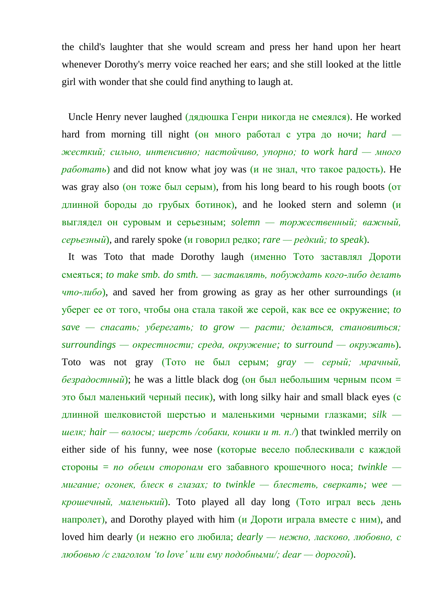the child's laughter that she would scream and press her hand upon her heart whenever Dorothy's merry voice reached her ears; and she still looked at the little girl with wonder that she could find anything to laugh at.

Uncle Henry never laughed (дядюшка Генри никогда не смеялся). He worked hard from morning till night (он много работал с утра до ночи; *hard жесткий; сильно, интенсивно; настойчиво, упорно; to work hard — много работать*) and did not know what joy was (и не знал, что такое радость). He was gray also (он тоже был серым), from his long beard to his rough boots (от длинной бороды до грубых ботинок), and he looked stern and solemn (и выглядел он суровым и серьезным; *solemn — торжественный; важный, серьезный*), and rarely spoke (и говорил редко; *rare — редкий; to speak*).

It was Toto that made Dorothy laugh (именно Тото заставлял Дороти смеяться; *to make smb. do smth. — заставлять, побуждать кого-либо делать что-либо*), and saved her from growing as gray as her other surroundings (и уберег ее от того, чтобы она стала такой же серой, как все ее окружение; *to save — спасать; уберегать; to grow — расти; делаться, становиться; surroundings — окрестности; среда, окружение; to surround — окружать*). Toto was not gray (Тото не был серым; *gray — серый; мрачный,*   $\delta$ езрадостный); he was a little black dog (он был небольшим черным псом = это был маленький черный песик), with long silky hair and small black eyes (с длинной шелковистой шерстью и маленькими черными глазками; *silk шелк; hair — волосы; шерсть /собаки, кошки и т. п./*) that twinkled merrily on either side of his funny, wee nose (которые весело поблескивали с каждой стороны = *по обеим сторонам* его забавного крошечного носа; *twinkle мигание; огонек, блеск в глазах; to twinkle — блестеть, сверкать; wee крошечный, маленький*). Toto played all day long (Тото играл весь день напролет), and Dorothy played with him (и Дороти играла вместе с ним), and loved him dearly (и нежно его любила; *dearly — нежно, ласково, любовно, с любовью /с глаголом 'to love' или ему подобными/; dear — дорогой*).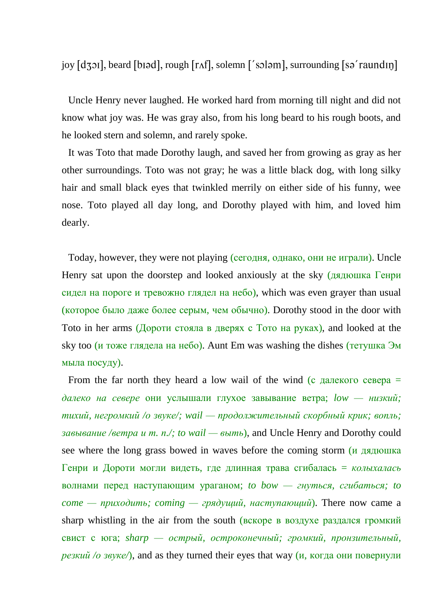joy [dʒɔɪ], beard [bɪəd], rough [rʌf], solemn ['soləm], surrounding [sə'raundɪŋ]

Uncle Henry never laughed. He worked hard from morning till night and did not know what joy was. He was gray also, from his long beard to his rough boots, and he looked stern and solemn, and rarely spoke.

It was Toto that made Dorothy laugh, and saved her from growing as gray as her other surroundings. Toto was not gray; he was a little black dog, with long silky hair and small black eyes that twinkled merrily on either side of his funny, wee nose. Toto played all day long, and Dorothy played with him, and loved him dearly.

Today, however, they were not playing (сегодня, однако, они не играли). Uncle Henry sat upon the doorstep and looked anxiously at the sky (дядюшка Генри сидел на пороге и тревожно глядел на небо), which was even grayer than usual (которое было даже более серым, чем обычно). Dorothy stood in the door with Toto in her arms (Дороти стояла в дверях с Тото на руках), and looked at the sky too (и тоже глядела на небо). Aunt Em was washing the dishes (тетушка Эм мыла посуду).

From the far north they heard a low wail of the wind (с далекого севера  $=$ *далеко на севере* они услышали глухое завывание ветра; *low — низкий; тихий, негромкий /о звуке/; wail — продолжительный скорбный крик; вопль; завывание /ветра и т. п./; to wail — выть*), and Uncle Henry and Dorothy could see where the long grass bowed in waves before the coming storm (и дядюшка Генри и Дороти могли видеть, где длинная трава сгибалась = *колыхалась* волнами перед наступающим ураганом; *to bow — гнуться, сгибаться; to come — приходить; coming — грядущий, наступающий*). There now came a sharp whistling in the air from the south (вскоре в воздухе раздался громкий свист с юга; *sharp — острый, остроконечный; громкий, пронзительный, резкий /о звуке/*), and as they turned their eyes that way  $(\mu, \text{ k}$  когда они повернули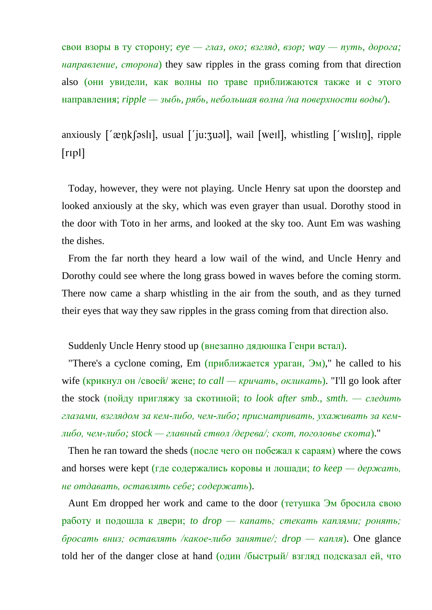свои взоры в ту сторону; *eye — глаз, око; взгляд, взор; way — путь, дорога; направление, сторона*) they saw ripples in the grass coming from that direction also (они увидели, как волны по траве приближаются также и с этого направления; *ripple — зыбь, рябь, небольшая волна /на поверхности воды/*).

# anxiously ['æŋkʃəslɪ], usual ['ju:zuəl], wail [weɪl], whistling ['wɪslɪŋ], ripple  $[rip]$

Today, however, they were not playing. Uncle Henry sat upon the doorstep and looked anxiously at the sky, which was even grayer than usual. Dorothy stood in the door with Toto in her arms, and looked at the sky too. Aunt Em was washing the dishes.

From the far north they heard a low wail of the wind, and Uncle Henry and Dorothy could see where the long grass bowed in waves before the coming storm. There now came a sharp whistling in the air from the south, and as they turned their eyes that way they saw ripples in the grass coming from that direction also.

Suddenly Uncle Henry stood up (внезапно дядюшка Генри встал).

"There's a cyclone coming, Em  $(n\nu_{\text{min}})$  and  $(n\nu_{\text{max}})$ ," he called to his wife (крикнул он /своей/ жене; *to call — кричать, окликать*). "I'll go look after the stock (пойду пригляжу за скотиной; *to look after smb., smth. — следить глазами, взглядом за кем-либо, чем-либо; присматривать, ухаживать за кемлибо, чем-либо; stock — главный ствол /дерева/; скот, поголовье скота*)."

Then he ran toward the sheds (после чего он побежал к сараям) where the cows and horses were kept (где содержались коровы и лошади; *to keep* — *держать*, *не отдавать, оставлять себе; содержать*).

Aunt Em dropped her work and came to the door (тетушка Эм бросила свою работу и подошла к двери; *to drop — капать; стекать каплями; ронять; бросать вниз; оставлять /какое-либо занятие/; drop — капля*). One glance told her of the danger close at hand (один /быстрый/ взгляд подсказал ей, что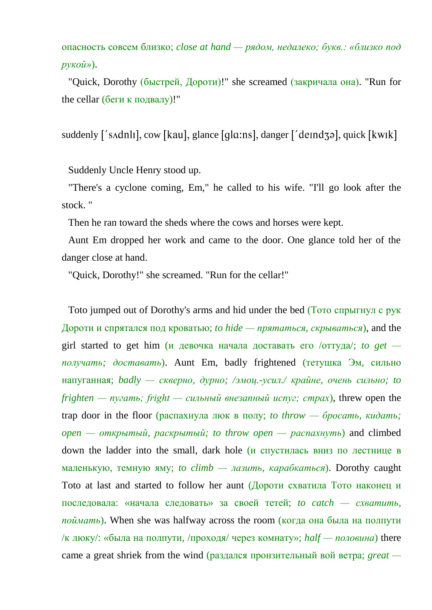опасность совсем близко; *close at hand — рядом, недалеко; букв.: «близко под рукой»*).

"Quick, Dorothy (быстрей, Дороти)!" she screamed (закричала она). "Run for the cellar (беги к подвалу)!"

suddenly ['s $\Lambda$ dnli], cow [kau], glance [ql $\alpha$ :ns], danger ['de $\alpha$ ], quick [kw $\alpha$ ]

Suddenly Uncle Henry stood up.

"There's a cyclone coming, Em," he called to his wife. "I'll go look after the stock. "

Then he ran toward the sheds where the cows and horses were kept.

Aunt Em dropped her work and came to the door. One glance told her of the danger close at hand.

"Quick, Dorothy!" she screamed. "Run for the cellar!"

Toto jumped out of Dorothy's arms and hid under the bed (Тото спрыгнул с рук Дороти и спрятался под кроватью; *to hide — прятаться, скрываться*), and the girl started to get him (и девочка начала доставать его /оттуда/; *to get получать; доставать*). Aunt Em, badly frightened (тетушка Эм, сильно напуганная; *badly — скверно, дурно; /эмоц.-усил./ крайне, очень сильно; to frighten — пугать; fright — сильный внезапный испуг; страх*), threw open the trap door in the floor (распахнула люк в полу; *to throw — бросать, кидать; open — открытый, раскрытый; to throw open — распахнуть*) and climbed down the ladder into the small, dark hole (и спустилась вниз по лестнице в маленькую, темную яму; *to climb — лазить, карабкаться*). Dorothy caught Toto at last and started to follow her aunt (Дороти схватила Тото наконец и последовала: «начала следовать» за своей тетей; *to catch — схватить, поймать*). When she was halfway across the room (когда она была на полпути /к люку/: «была на полпути, /проходя/ через комнату»; *half — половина*) there came a great shriek from the wind (раздался пронзительный вой ветра; *great —*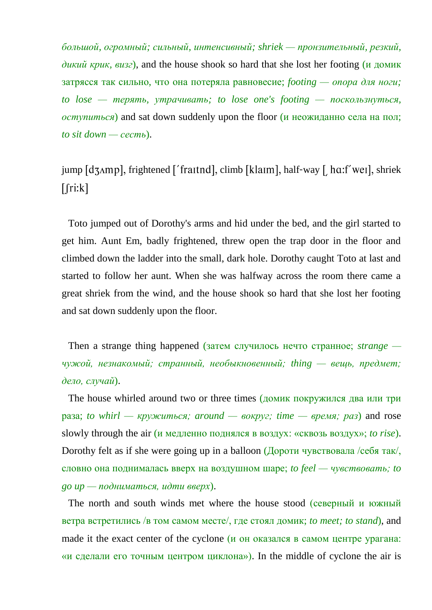*большой, огромный; сильный, интенсивный; shriek — пронзительный, резкий, дикий крик, визг*), and the house shook so hard that she lost her footing (и домик затрясся так сильно, что она потеряла равновесие; *footing — опора для ноги; to lose — терять, утрачивать; to lose one's footing — поскользнуться, оступиться*) and sat down suddenly upon the floor (и неожиданно села на пол; *to sit down — сесть*).

jump [dʒʌmp], frightened ['fraɪtnd], climb [klaɪm], half-way [ hɑ:f'weɪ], shriek  $[$  $[$  $r$ i: $k]$ 

Toto jumped out of Dorothy's arms and hid under the bed, and the girl started to get him. Aunt Em, badly frightened, threw open the trap door in the floor and climbed down the ladder into the small, dark hole. Dorothy caught Toto at last and started to follow her aunt. When she was halfway across the room there came a great shriek from the wind, and the house shook so hard that she lost her footing and sat down suddenly upon the floor.

Then a strange thing happened (затем случилось нечто странное; *strange чужой, незнакомый; странный, необыкновенный; thing — вещь, предмет; дело, случай*).

The house whirled around two or three times (домик покружился два или три раза; *to* whirl — кружиться; around — вокруг; time — время; раз) and rose slowly through the air (и медленно поднялся в воздух: «сквозь воздух»; *to rise*). Dorothy felt as if she were going up in a balloon (Дороти чувствовала /себя так/, словно она поднималась вверх на воздушном шаре; *to feel — чувствовать; to go up — подниматься, идти вверх*).

The north and south winds met where the house stood (северный и южный ветра встретились /в том самом месте/, где стоял домик; *to meet; to stand*), and made it the exact center of the cyclone (и он оказался в самом центре урагана: «и сделали его точным центром циклона»). In the middle of cyclone the air is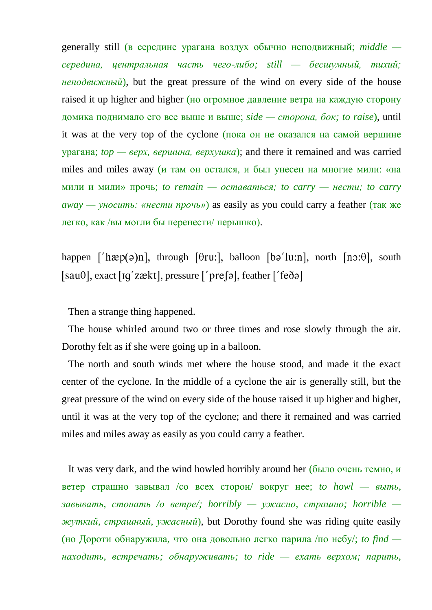generally still (в середине урагана воздух обычно неподвижный; *middle середина, центральная часть чего-либо; still — бесшумный, тихий; неподвижный*), but the great pressure of the wind on every side of the house raised it up higher and higher (но огромное давление ветра на каждую сторону домика поднимало его все выше и выше; *side — сторона, бок; to raise*), until it was at the very top of the cyclone (пока он не оказался на самой вершине урагана; *top — верх, вершина, верхушка*); and there it remained and was carried miles and miles away (и там он остался, и был унесен на многие мили: «на мили и мили» прочь; *to remain — оставаться; to carry — нести; to carry away — уносить: «нести прочь»*) as easily as you could carry a feather (так же легко, как /вы могли бы перенести/ перышко).

happen  $\lceil \frac{\ln(\Theta)}{n} \rceil$ , through  $\lceil \theta \rceil$  halloon  $\lceil \theta \rceil$  has  $\lceil \ln(\Theta) \rceil$ , south  $[sau\theta]$ , exact  $[ig'zækt]$ , pressure  $['pre\beta]$ , feather  $['fe\delta\vartheta]$ 

Then a strange thing happened.

The house whirled around two or three times and rose slowly through the air. Dorothy felt as if she were going up in a balloon.

The north and south winds met where the house stood, and made it the exact center of the cyclone. In the middle of a cyclone the air is generally still, but the great pressure of the wind on every side of the house raised it up higher and higher, until it was at the very top of the cyclone; and there it remained and was carried miles and miles away as easily as you could carry a feather.

It was very dark, and the wind howled horribly around her (было очень темно, и ветер страшно завывал /со всех сторон/ вокруг нее; *to howl — выть, завывать, стонать /о ветре/; horribly — ужасно, страшно; horrible жуткий, страшный, ужасный*), but Dorothy found she was riding quite easily (но Дороти обнаружила, что она довольно легко парила /по небу/; *to find находить, встречать; обнаруживать; to ride — ехать верхом; парить,*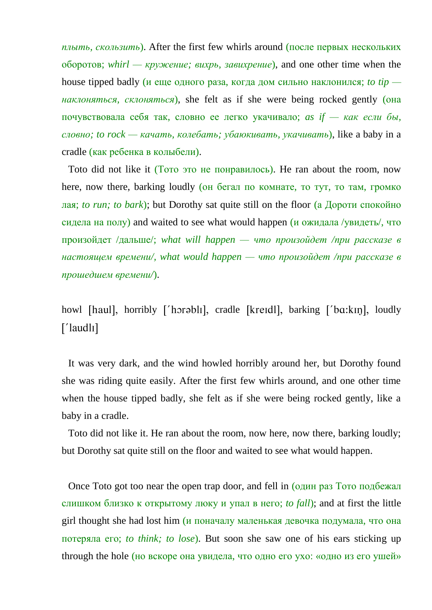*плыть, скользить*). After the first few whirls around (после первых нескольких оборотов; *whirl — кружение; вихрь, завихрение*), and one other time when the house tipped badly (и еще одного раза, когда дом сильно наклонился; *to tip наклоняться, склоняться*), she felt as if she were being rocked gently (она почувствовала себя так, словно ее легко укачивало; *as if — как если бы, словно; to rock — качать, колебать; убаюкивать, укачивать*), like a baby in a cradle (как ребенка в колыбели).

Toto did not like it (Тото это не понравилось). He ran about the room, now here, now there, barking loudly (он бегал по комнате, то тут, то там, громко лая; *to run; to bark*); but Dorothy sat quite still on the floor (а Дороти спокойно сидела на полу) and waited to see what would happen (и ожидала /увидеть/, что произойдет /дальше/; *what will happen — что произойдет /при рассказе в настоящем времени/, what would happen — что произойдет /при рассказе в прошедшем времени/*).

howl [haul], horribly ['horabli], cradle [kreidl], barking ['ba:kin], loudly  $[$ 'laudl $I$ ]

It was very dark, and the wind howled horribly around her, but Dorothy found she was riding quite easily. After the first few whirls around, and one other time when the house tipped badly, she felt as if she were being rocked gently, like a baby in a cradle.

Toto did not like it. He ran about the room, now here, now there, barking loudly; but Dorothy sat quite still on the floor and waited to see what would happen.

Once Toto got too near the open trap door, and fell in (один раз Тото подбежал слишком близко к открытому люку и упал в него; *to fall*); and at first the little girl thought she had lost him (и поначалу маленькая девочка подумала, что она потеряла его; *to think; to lose*). But soon she saw one of his ears sticking up through the hole (но вскоре она увидела, что одно его ухо: «одно из его ушей»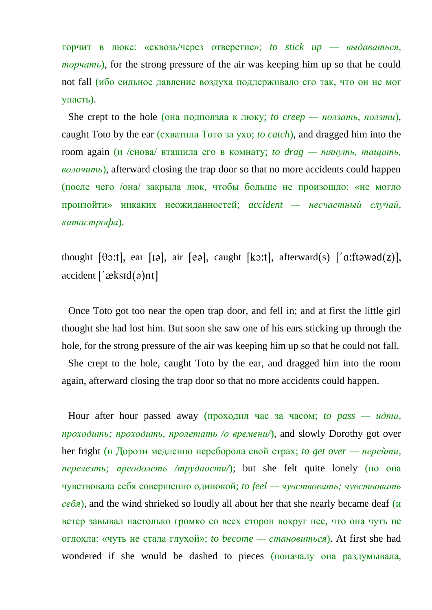торчит в люке: «сквозь/через отверстие»; *to stick up — выдаваться, торчать*), for the strong pressure of the air was keeping him up so that he could not fall (ибо сильное давление воздуха поддерживало его так, что он не мог упасть).

She crept to the hole (она подползла к люку; *to creep — ползать, ползти*), caught Toto by the ear (схватила Тото за ухо; *to catch*), and dragged him into the room again (и /снова/ втащила его в комнату; *to drag — тянуть, тащить, волочить*), afterward closing the trap door so that no more accidents could happen (после чего /она/ закрыла люк, чтобы больше не произошло: «не могло произойти» никаких неожиданностей; *accident — несчастный случай, катастрофа*).

thought  $[\theta x:1]$ , ear  $[\alpha x:1]$ , air  $[\alpha x:1]$ , afterward  $(\alpha x:1]$ ,  $[\alpha x:1]$  $accident['æksId(ə)nt]$ 

Once Toto got too near the open trap door, and fell in; and at first the little girl thought she had lost him. But soon she saw one of his ears sticking up through the hole, for the strong pressure of the air was keeping him up so that he could not fall.

She crept to the hole, caught Toto by the ear, and dragged him into the room again, afterward closing the trap door so that no more accidents could happen.

Hour after hour passed away (проходил час за часом; *to pass — идти, проходить; проходить, пролетать /о времени/*), and slowly Dorothy got over her fright (и Дороти медленно переборола свой страх; *to get over — перейти, перелезть; преодолеть /трудности/*); but she felt quite lonely (но она чувствовала себя совершенно одинокой; *to feel — чувствовать; чувствовать себя*), and the wind shrieked so loudly all about her that she nearly became deaf (и ветер завывал настолько громко со всех сторон вокруг нее, что она чуть не оглохла: «чуть не стала глухой»; *to become — становиться*). At first she had wondered if she would be dashed to pieces (поначалу она раздумывала,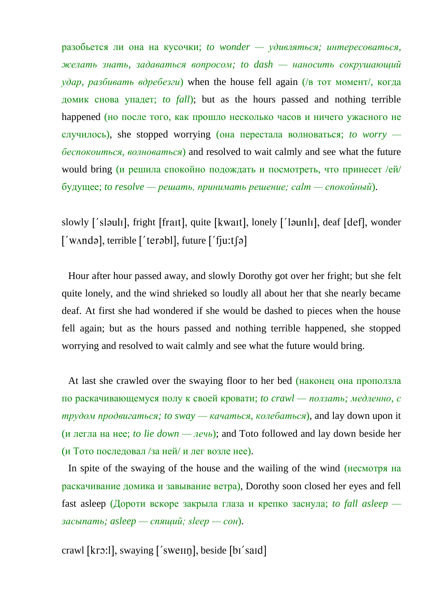разобьется ли она на кусочки; *to wonder — удивляться; интересоваться, желать знать, задаваться вопросом; to dash — наносить сокрушающий удар, разбивать вдребезги*) when the house fell again (/в тот момент/, когда домик снова упадет; *to fall*); but as the hours passed and nothing terrible happened (но после того, как прошло несколько часов и ничего ужасного не случилось), she stopped worrying (она перестала волноваться; *to worry беспокоиться, волноваться*) and resolved to wait calmly and see what the future would bring (и решила спокойно подождать и посмотреть, что принесет /ей/ будущее; *to resolve — решать, принимать решение; calm — спокойный*).

slowly ['slauli], fright [frait], quite [kwait], lonely ['launli], deaf [def], wonder  $\lceil$ 'w $\land$ ndə $\rceil$ , terrible  $\lceil$ 'terəbl $\rceil$ , future  $\lceil$ 'f $\lceil u: t \rceil$ ə $\lceil u \rceil$ 

Hour after hour passed away, and slowly Dorothy got over her fright; but she felt quite lonely, and the wind shrieked so loudly all about her that she nearly became deaf. At first she had wondered if she would be dashed to pieces when the house fell again; but as the hours passed and nothing terrible happened, she stopped worrying and resolved to wait calmly and see what the future would bring.

At last she crawled over the swaying floor to her bed (наконец она проползла по раскачивающемуся полу к своей кровати; *to crawl — ползать; медленно, с трудом продвигаться; to sway — качаться, колебаться*), and lay down upon it (и легла на нее; *to lie down — лечь*); and Toto followed and lay down beside her (и Тото последовал /за ней/ и лег возле нее).

In spite of the swaying of the house and the wailing of the wind (несмотря на раскачивание домика и завывание ветра), Dorothy soon closed her eyes and fell fast asleep (Дороти вскоре закрыла глаза и крепко заснула; *to fall asleep засыпать; asleep — спящий; sleep — сон*).

crawl [krɔ:], swaying ['swelln], beside  $[b_1$ 'said]